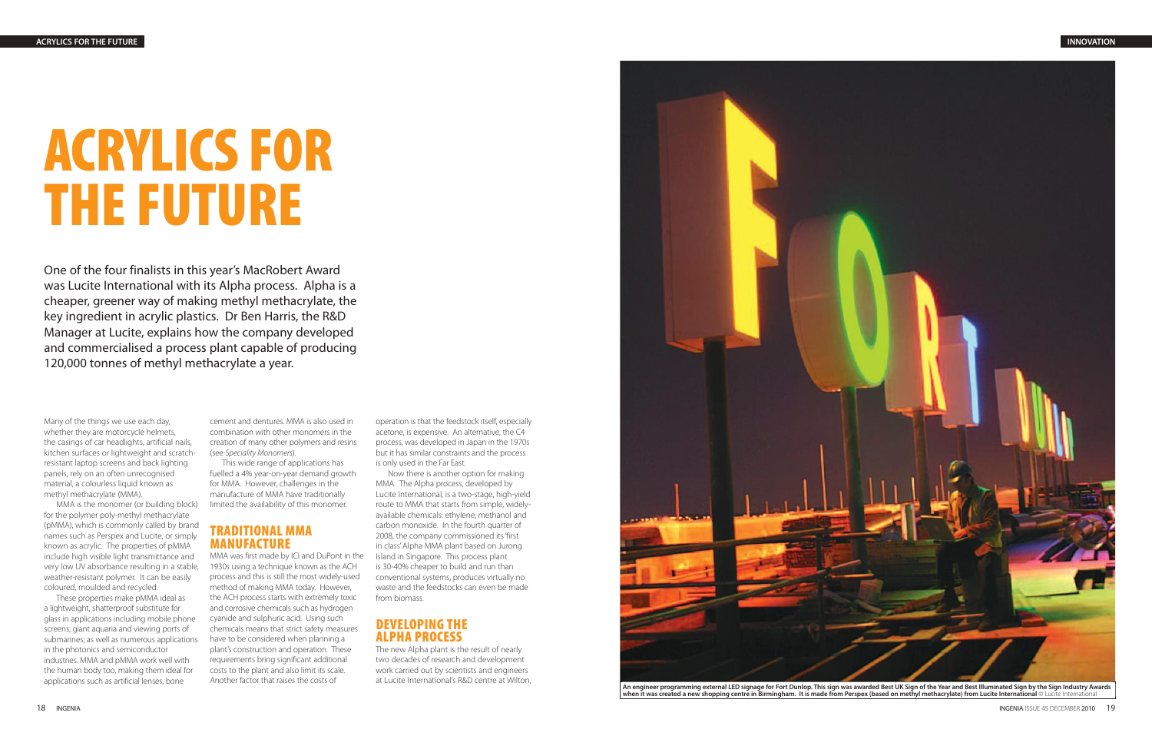# **ACRYLICS FOR THE FUTURE**

One of the four finalists in this year's MacRobert Award was Lucite International with its Alpha process. Alpha is a cheaper, greener way of making methyl methacrylate, the key ingredient in acrylic plastics. Dr Ben Harris, the R&D Manager at Lucite, explains how the company developed and commercialised a process plant capable of producing 120,000 tonnes of methyl methacrylate a year.

Many of the things we use each day, whether they are motorcycle helmets, the casings of car headlights, artificial nails, kitchen surfaces or lightweight and scratchresistant laptop screens and back lighting panels, rely on an often unrecognised material, a colourless liquid known as methyl methacrylate (MMA).

MMA is the monomer (or building block) for the polymer poly-methyl methacrylate (pMMA), which is commonly called by brand names such as Perspex and Lucite, or simply known as acrylic. The properties of pMMA include high visible light transmittance and very low UV absorbance resulting in a stable, weather-resistant polymer. It can be easily coloured, moulded and recycled.

These properties make pMMA ideal as a lightweight, shatterproof substitute for glass in applications including mobile phone screens, giant aquaria and viewing ports of submarines; as well as numerous applications in the photonics and semiconductor industries. MMA and pMMA work well with the human body too, making them ideal for applications such as artificial lenses, bone

cement and dentures. MMA is also used in combination with other monomers in the creation of many other polymers and resins (see Speciality Monomers).

This wide range of applications has fuelled a 4% year-on-year demand growth for MMA. However, challenges in the manufacture of MMA have traditionally limited the availability of this monomer.

#### **TRADITIONAL MMA MANUFACTURE**

MMA was first made by ICI and DuPont in the 1930s using a technique known as the ACH process and this is still the most widely-used method of making MMA today. However, the ACH process starts with extremely toxic and corrosive chemicals such as hydrogen cyanide and sulphuric acid. Using such chemicals means that strict safety measures have to be considered when planning a plant's construction and operation. These requirements bring significant additional costs to the plant and also limit its scale. Another factor that raises the costs of

operation is that the feedstock itself, especially acetone, is expensive. An alternative, the C4 process, was developed in Japan in the 1970s but it has similar constraints and the process is only used in the Far East.

Now there is another option for making MMA. The Alpha process, developed by Lucite International, is a two-stage, high-yield route to MMA that starts from simple, widelyavailable chemicals: ethylene, methanol and carbon monoxide. In the fourth quarter of 2008, the company commissioned its 'first in class' Alpha MMA plant based on Jurong Island in Singapore. This process plant is 30-40% cheaper to build and run than conventional systems, produces virtually no waste and the feedstocks can even be made from biomass.

### **DEVELOPING THE ALPHA PROCESS**

The new Alpha plant is the result of nearly two decades of research and development work carried out by scientists and engineers



**when it was created a new shopping centre in Birmingham. It is made from Perspex (based on methyl methacrylate) from Lucite International** © Lucite International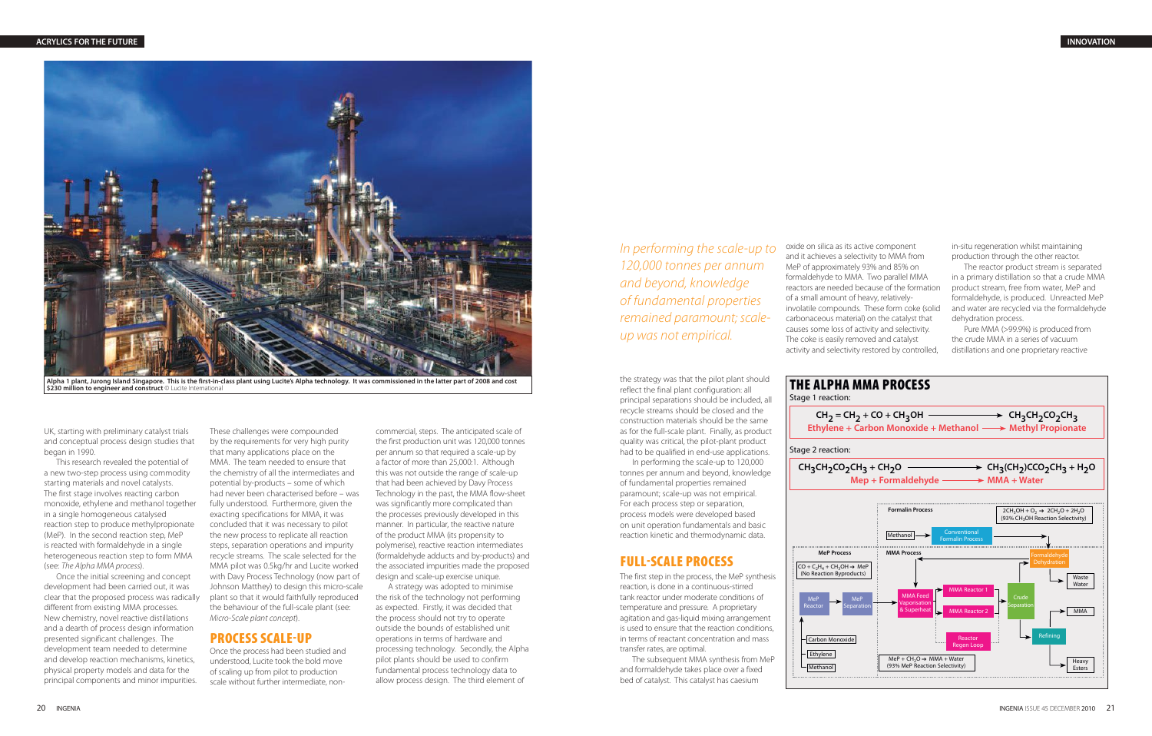the strategy was that the pilot plant should reflect the final plant configuration: all principal separations should be included, all recycle streams should be closed and the construction materials should be the same as for the full-scale plant. Finally, as product quality was critical, the pilot-plant product had to be qualified in end-use applications.

In performing the scale-up to 120,000 tonnes per annum and beyond, knowledge of fundamental properties remained paramount; scale-up was not empirical. For each process step or separation, process models were developed based on unit operation fundamentals and basic reaction kinetic and thermodynamic data.

# **FULL-SCALE PROCESS**

The first step in the process, the MeP synthesis reaction, is done in a continuous-stirred tank reactor under moderate conditions of temperature and pressure. A proprietary agitation and gas-liquid mixing arrangement is used to ensure that the reaction conditions, in terms of reactant concentration and mass transfer rates, are optimal.

The subsequent MMA synthesis from MeP and formaldehyde takes place over a fixed bed of catalyst. This catalyst has caesium

UK, starting with preliminary catalyst trials and conceptual process design studies that began in 1990.

This research revealed the potential of a new two-step process using commodity starting materials and novel catalysts. The first stage involves reacting carbon monoxide, ethylene and methanol together in a single homogeneous catalysed reaction step to produce methylpropionate (MeP). In the second reaction step, MeP is reacted with formaldehyde in a single heterogeneous reaction step to form MMA (see: The Alpha MMA process).

Once the initial screening and concept development had been carried out, it was clear that the proposed process was radically different from existing MMA processes. New chemistry, novel reactive distillations and a dearth of process design information presented significant challenges. The development team needed to determine and develop reaction mechanisms, kinetics, physical property models and data for the principal components and minor impurities.

These challenges were compounded by the requirements for very high purity that many applications place on the MMA. The team needed to ensure that the chemistry of all the intermediates and potential by-products – some of which had never been characterised before – was fully understood. Furthermore, given the exacting specifications for MMA, it was concluded that it was necessary to pilot the new process to replicate all reaction steps, separation operations and impurity recycle streams. The scale selected for the MMA pilot was 0.5kg/hr and Lucite worked with Davy Process Technology (now part of Johnson Matthey) to design this micro-scale plant so that it would faithfully reproduced the behaviour of the full-scale plant (see: Micro-Scale plant concept).

# **PROCESS SCALE-UP**

Once the process had been studied and understood, Lucite took the bold move of scaling up from pilot to production scale without further intermediate, non-



commercial, steps. The anticipated scale of the first production unit was 120,000 tonnes per annum so that required a scale-up by a factor of more than 25,000:1. Although this was not outside the range of scale-up that had been achieved by Davy Process Technology in the past, the MMA flow-sheet was significantly more complicated than the processes previously developed in this manner. In particular, the reactive nature of the product MMA (its propensity to polymerise), reactive reaction intermediates (formaldehyde adducts and by-products) and the associated impurities made the proposed design and scale-up exercise unique.

A strategy was adopted to minimise the risk of the technology not performing as expected. Firstly, it was decided that the process should not try to operate outside the bounds of established unit operations in terms of hardware and processing technology. Secondly, the Alpha pilot plants should be used to confirm fundamental process technology data to allow process design. The third element of

oxide on silica as its active component and it achieves a selectivity to MMA from MeP of approximately 93% and 85% on formaldehyde to MMA. Two parallel MMA reactors are needed because of the formation of a small amount of heavy, relativelyinvolatile compounds. These form coke (solid carbonaceous material) on the catalyst that causes some loss of activity and selectivity. The coke is easily removed and catalyst activity and selectivity restored by controlled,

in-situ regeneration whilst maintaining production through the other reactor.

The reactor product stream is separated in a primary distillation so that a crude MMA product stream, free from water, MeP and formaldehyde, is produced. Unreacted MeP and water are recycled via the formaldehyde dehydration process.

Pure MMA (>99.9%) is produced from the crude MMA in a series of vacuum distillations and one proprietary reactive

In performing the scale-up to 120,000 tonnes per annum and beyond, knowledge of fundamental properties remained paramount; scaleup was not empirical.



Alpha 1 plant, Jurong Island Singapore. This is the first-in-class plant using Lucite's Alpha technology. It was commissioned in the latter part of 2008 and cost<br>\$230 million to engineer and construct © Lucite Internationa